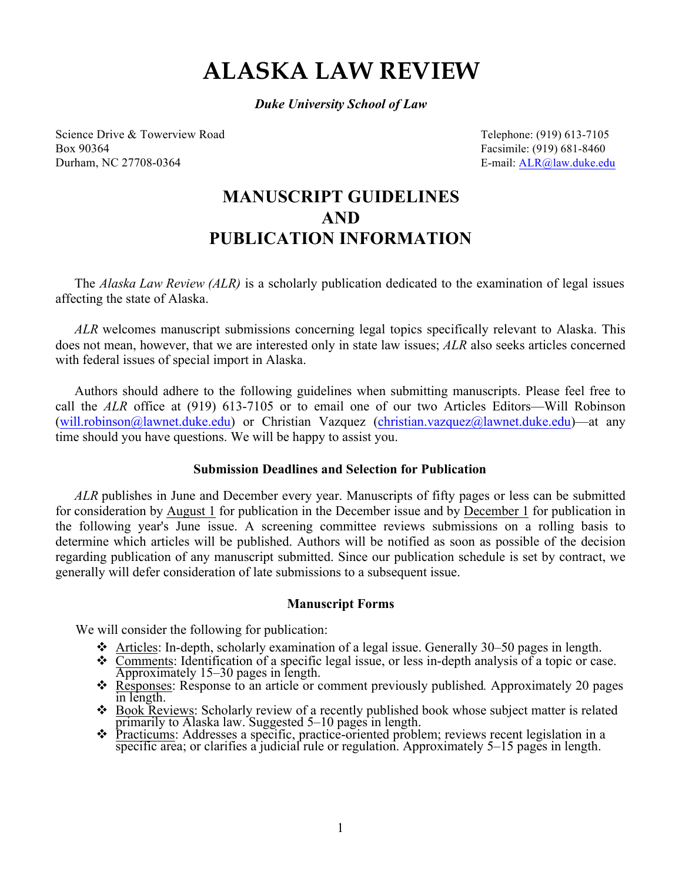# **ALASKA LAW REVIEW**

*Duke University School of Law*

Science Drive & Towerview Road Telephone: (919) 613-7105 Box 90364 Facsimile: (919) 681-8460 Durham, NC 27708-0364 E-mail: ALR@law.duke.edu

# **MANUSCRIPT GUIDELINES AND PUBLICATION INFORMATION**

The *Alaska Law Review (ALR)* is a scholarly publication dedicated to the examination of legal issues affecting the state of Alaska.

*ALR* welcomes manuscript submissions concerning legal topics specifically relevant to Alaska. This does not mean, however, that we are interested only in state law issues; *ALR* also seeks articles concerned with federal issues of special import in Alaska.

Authors should adhere to the following guidelines when submitting manuscripts. Please feel free to call the *ALR* office at (919) 613-7105 or to email one of our two Articles Editors—Will Robinson (will.robinson@lawnet.duke.edu) or Christian Vazquez (christian.vazquez@lawnet.duke.edu)—at any time should you have questions. We will be happy to assist you.

# **Submission Deadlines and Selection for Publication**

*ALR* publishes in June and December every year. Manuscripts of fifty pages or less can be submitted for consideration by August 1 for publication in the December issue and by December 1 for publication in the following year's June issue. A screening committee reviews submissions on a rolling basis to determine which articles will be published. Authors will be notified as soon as possible of the decision regarding publication of any manuscript submitted. Since our publication schedule is set by contract, we generally will defer consideration of late submissions to a subsequent issue.

## **Manuscript Forms**

We will consider the following for publication:

- $\cdot$  Articles: In-depth, scholarly examination of a legal issue. Generally 30–50 pages in length.
- <sup>v</sup> Comments: Identification of a specific legal issue, or less in-depth analysis of a topic or case. Approximately 15–30 pages in length.
- \* Responses: Response to an article or comment previously published. Approximately 20 pages in length.
- $\bullet$  Book Reviews: Scholarly review of a recently published book whose subject matter is related primarily to Alaska law. Suggested 5–10 pages in length.
- <sup>v</sup> Practicums: Addresses a specific, practice-oriented problem; reviews recent legislation in a specific area; or clarifies a judicial rule or regulation. Approximately 5–15 pages in length.